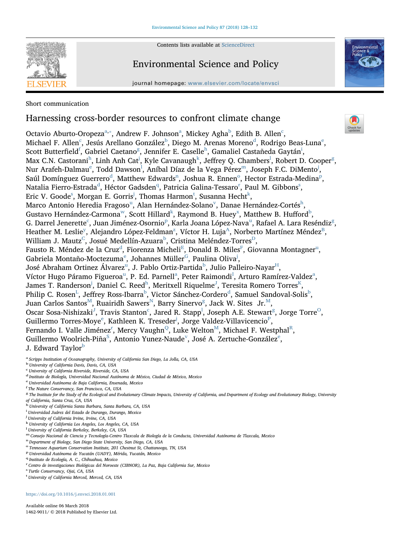Contents lists available at [ScienceDirect](http://www.sciencedirect.com/science/journal/14629011)



# Environmental Science and Policy

journal homepage: [www.elsevier.com/locate/envsci](https://www.elsevier.com/locate/envsci)



## Short communication

# Harnessing cross-border resources to confront climate change

Oct[a](#page-0-0)vio A[b](#page-0-1)urto-Oropeza $a^a$ , $\ast$ , Andrew F. Johnson $^a$ , Mi[c](#page-0-2)key Agha $^b$ , Edith B. Allen $^c$ , Mi[c](#page-0-2)ha[e](#page-0-4)l F. Allen $^{\rm c}$ , Jesús Arellano González $^{\rm b}$  $^{\rm b}$  $^{\rm b}$ , Diego M. Arenas Moreno $^{\rm d}$  $^{\rm d}$  $^{\rm d}$ , Rodrigo Beas-Luna $^{\rm e}$ , Scott Butterfield<sup>f</sup>, Gabriel Caetano<sup>[g](#page-0-6)</sup>, Jennifer E. Caselle<sup>[h](#page-0-7)</sup>, Gamal[i](#page-0-8)el Castañeda Gaytán<sup>i</sup>, Max C.N. Castorani $^{\rm h}$  $^{\rm h}$  $^{\rm h}$ , Linh Anh Cat<sup>[j](#page-0-9)</sup>, Ky[l](#page-0-11)e Cavanau[g](#page-0-6)h $^{\rm k}$  $^{\rm k}$  $^{\rm k}$ , Jeffrey Q. Chambers $^{\rm l}$ , Robert D. Cooper $^{\rm g}$ , Nur Araf[e](#page-0-4)h-Da[l](#page-0-11)[m](#page-0-12)au $^{\rm e}$ , Todd Dawson $^{\rm l}$ , Aníbal Díaz de la Vega Pérez $^{\rm m}$ , Joseph F.C. DiMento $^{\rm j}$  $^{\rm j}$  $^{\rm j}$ , Saúl Domí[n](#page-0-13)guez Guerrer[o](#page-0-14) $^{\text{d}}$  $^{\text{d}}$  $^{\text{d}}$ , Matthew Edwards $^{\text{n}}$ , Joshua R. Ennen $^{\text{o}}$ , Hector Estrada-Medina $^{\text{p}}$  $^{\text{p}}$  $^{\text{p}}$ , Natalia Fierro-Estra[d](#page-0-3)a<sup>d</sup>, Héctor Gadsden<sup>[q](#page-0-16)</sup>, Pat[r](#page-0-17)icia Galina-Te[s](#page-0-18)saro<sup>r</sup>, Paul M. Gibbons<sup>s</sup>, Eric V. Goode<[s](#page-0-18)up>s</sup>, Morgan E. Gorris<sup>[j](#page-0-9)</sup>, Thomas Harmon<sup>[t](#page-0-19)</sup>, Susanna Hecht<sup>[k](#page-0-10)</sup>, Marco Antonio Heredia Fragoso<s[u](#page-1-1)p>u</sup>, Alan Hernández-Solano<sup>[v](#page-1-2)</sup>, Danae Hernández-Cortés<sup>[h](#page-0-7)</sup>, Gustavo Hernández-Carmona<sup>[w](#page-1-3)</sup>, Scott Hillard<sup>k</sup>, Raymond B. Huey<sup>[x](#page-1-4)</sup>, Matthew B. Hufford<sup>[b](#page-0-1)</sup>, G. Darrel Jenerette $^{\rm c}$  $^{\rm c}$  $^{\rm c}$ , J[u](#page-1-1)an Jiménez-Osornio $^{\rm p}$  $^{\rm p}$  $^{\rm p}$ , Karla Joana López-Nava $^{\rm u}$ , Rafael A. Lara Reséndiz $^{\rm g}$  $^{\rm g}$  $^{\rm g}$ , Heather M. Leslie<sup>[y](#page-1-5)</sup>, Alejandro Lópe[z](#page-1-6)-Feldman<sup>z</sup>, Víctor H. Luja<sup>A</sup>, Norberto Martínez Méndez<sup>B</sup>, William J. Mautz $^{\text{\tiny C}}$  $^{\text{\tiny C}}$  $^{\text{\tiny C}}$ , Josué Medellín-Azuara $^{\text{\tiny b}}$  $^{\text{\tiny b}}$  $^{\text{\tiny b}}$ , Cristina Meléndez-Torres $^{\text{\tiny D}}$  $^{\text{\tiny D}}$  $^{\text{\tiny D}}$ , Fausto R. Mén[d](#page-0-3)ez de la Cr[u](#page-1-1)z $^{\rm d}$ , [F](#page-1-12)iorenza Micheli $^{\rm E}$  $^{\rm E}$  $^{\rm E}$ , Donald B. Miles $^{\rm F}$ , Giovanna Montagner $^{\rm u}$ , Gabri[e](#page-0-4)la Montaño-Moctezuma $^\mathrm{e}$ , Johannes Müller $^\mathrm{G}$ , Paulina Oliva $^\mathrm{j}$  $^\mathrm{j}$  $^\mathrm{j}$ , José Abraham Ortinez Álvarez<s[u](#page-1-1)p>u</sup>, J. Pa[b](#page-0-1)lo Ortiz-Partida<sup>b</sup>, Julio Palleiro-Nayar<sup>[H](#page-1-14)</sup>, Víctor H[u](#page-1-1)go Pár[a](#page-0-0)mo Figueroa<sup>u</sup>, P. Ed. Parnell<sup>a</sup>, Peter Raimondi<sup>[I](#page-1-15)</sup>, Arturo Ramírez-Valdez<sup>a</sup>, James T. Randerson<sup>[j](#page-0-9)</sup>, Daniel C. Reed<sup>[h](#page-0-7)</sup>, Meritxell Riquelme<sup>[J](#page-1-16)</sup>, Teresita Romero Torres<sup>[K](#page-1-17)</sup>, Philip C. Rosen<sup>[L](#page-1-18)</sup>, Jeffrey Ross-I[b](#page-0-1)arra<sup>b</sup>, Victor Sánchez-Cor[d](#page-0-3)ero<sup>d</sup>, Samuel Sandoval-Solis<sup>b</sup>, Juan Carlos Santos $^{\text{M}}$  $^{\text{M}}$  $^{\text{M}}$ , Ruairidh Sawers $^{\text{N}}$ , Barry Sinervo $^{\text{g}}$  $^{\text{g}}$  $^{\text{g}}$ , Jack W. Sites Jr. $^{\text{M}}$ , Os[c](#page-0-2)ar Sosa-Nishizaki $^{\mathrm{J}}$  $^{\mathrm{J}}$  $^{\mathrm{J}}$ , Travis Stanton $^{\mathrm{c}}$ , Jared R. Stapp $^{\mathrm{l}}$  $^{\mathrm{l}}$  $^{\mathrm{l}}$ , Joseph A.E. Stewart $^{\mathrm{g}}$  $^{\mathrm{g}}$  $^{\mathrm{g}}$ , Jorge Torre $^{\mathrm{O}}$ , Guill[e](#page-0-4)rmo Torres-Moye $\mathrm{^e_\cdot}$  Kathleen K. Treseder $\mathrm{^i_\cdot}$ , Jorge Valdez-Villavicencio $\mathrm{^P_\cdot}$  $\mathrm{^P_\cdot}$  $\mathrm{^P_\cdot}$ Fe[r](#page-0-17)nando I. Valle Jiménez $^{\text{r}}$ , Mercy Vaughn $^{\text{Q}}$  $^{\text{Q}}$  $^{\text{Q}}$ , Luke Welton $^{\text{M}}$ , Michael F. Westphal $^{\text{R}}$ , Guillermo Woolrich-Piña<sup>[S](#page-1-25)</sup>, Antonio Yunez-Naude<sup>[v](#page-1-2)</sup>, José A. Z[e](#page-0-4)rtuche-González<sup>e</sup>, J. Edward Taylor<sup>[b](#page-0-1)</sup>

- <span id="page-0-0"></span><sup>a</sup> Scripps Institution of Oceanography, University of California San Diego, La Jolla, CA, USA
- <span id="page-0-1"></span><sup>b</sup> University of California Davis, Davis, CA, USA
- <span id="page-0-2"></span>c University of California Riverside, Riverside, CA, USA
- <span id="page-0-3"></span><sup>d</sup> Instituto de Biología, Universidad Nacional Autónoma de México, Ciudad de México, Mexico
- <span id="page-0-4"></span><sup>e</sup> Universidad Autónoma de Baja California, Ensenada, Mexico
- <span id="page-0-5"></span>f The Nature Conservancy, San Francisco, CA, USA
- <span id="page-0-6"></span><sup>g</sup> The Institute for the Study of the Ecological and Evolutionary Climate Impacts, University of California, and Department of Ecology and Evolutionary Biology, University of California, Santa Cruz, CA, USA
- <span id="page-0-7"></span><sup>h</sup> University of California Santa Barbara, Santa Barbara, CA, USA
- <span id="page-0-8"></span>i Universidad Juárez del Estado de Durango, Durango, Mexico
- <span id="page-0-9"></span><sup>j</sup> University of California Irvine, Irvine, CA, USA
- <span id="page-0-10"></span><sup>k</sup> University of California Los Angeles, Los Angeles, CA, USA
- <span id="page-0-11"></span>l University of California Berkeley, Berkeley, CA, USA
- <span id="page-0-12"></span>m Consejo Nacional de Ciencia y Tecnología-Centro Tlaxcala de Biología de la Conducta, Universidad Autónoma de Tlaxcala, Mexico nDepartment of Biology, San Diego State University, San Diego, CA, USA
- <span id="page-0-13"></span>
- <span id="page-0-14"></span><sup>o</sup> Tennessee Aquarium Conservation Institute, 201 Chestnut St, Chattanooga, TN, USA
- <span id="page-0-15"></span><sup>p</sup> Universidad Autónoma de Yucatán (UADY), Mérida, Yucatán, Mexico
- <span id="page-0-16"></span><sup>q</sup> Instituto de Ecología, A. C., Chihuahua, Mexico
- <span id="page-0-17"></span><sup>r</sup> Centro de investigaciones Biológicas del Noroeste (CIBNOR), La Paz, Baja California Sur, Mexico
- <span id="page-0-18"></span>s Turtle Conservancy, Ojai, CA, USA
- <span id="page-0-19"></span><sup>t</sup> University of California Merced, Merced, CA, USA

## <https://doi.org/10.1016/j.envsci.2018.01.001>

Available online 06 March 2018 1462-9011/ © 2018 Published by Elsevier Ltd.

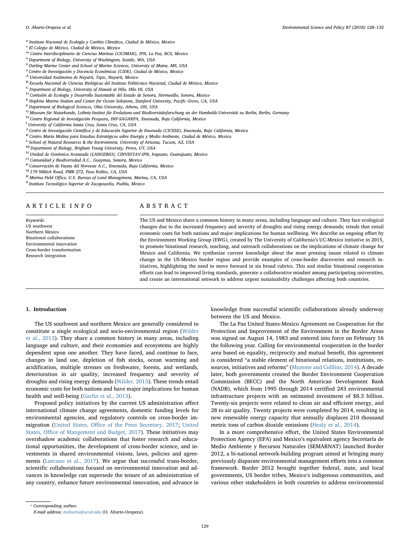- <span id="page-1-1"></span><sup>u</sup> Instituto Nacional de Ecología y Cambio Climático, Ciudad de México, Mexico
- <span id="page-1-2"></span><sup>v</sup> El Colegio de México, Ciudad de México, Mexico
- <span id="page-1-3"></span>w Centro Interdisciplinario de Ciencias Marinas (CICIMAR), IPN, La Paz, BCS, Mexico xDepartment of Biology, University of Washington, Seattle, WA, USA
- <span id="page-1-4"></span>
- <span id="page-1-5"></span><sup>y</sup> Darling Marine Center and School of Marine Sciences, University of Maine, ME, USA
- <span id="page-1-6"></span><sup>z</sup> Centro de Investigación y Docencia Económicas (CIDE), Ciudad de México, Mexico
- <span id="page-1-7"></span><sup>A</sup> Universidad Autónoma de Nayarit, Tepic, Nayarit, Mexico
- <span id="page-1-8"></span><sup>B</sup> Escuela Nacional de Ciencias Biológicas del Instituto Politécnico Nacional, Ciudad de México, Mexico
- <span id="page-1-9"></span><sup>C</sup> Department of Biology, University of Hawaii at Hilo, Hilo HI, USA
- <span id="page-1-10"></span><sup>D</sup> Comisión de Ecología y Desarrollo Sustentable del Estado de Sonora, Hermosillo, Sonora, Mexico
- <span id="page-1-11"></span> $^{\rm E}$  Hopkins Marine Station and Center for Ocean Solutions, Stanford University, Pacific Grove, CA, USA  $^{\rm F}$  Department of Biological Sciences, Ohio University, Athens, OH, USA
- <span id="page-1-12"></span>
- <span id="page-1-13"></span> $^{\rm G}$ Museum für Naturkunde, Leibniz-Institut für Evolutions-und Biodiversitätsforschung an der Humboldt-Universität zu Berlin, Berlin, Germany $^{\rm H}$ Centro Regional de Investigación Pesquera, INP-SAGARPA, Ensenada, Baja
- <span id="page-1-15"></span><span id="page-1-14"></span>
- <sup>I</sup> University of California Santa Cruz, Santa Cruz, CA, USA
- <span id="page-1-16"></span> $^{\rm J}$ Centro de Investigación Científica y de Educación Superior de Ensenada (CICESE), Ensenada, Baja California, Mexico K Centro Mario Molina para Estudios Estratégicos sobre Energía y Medio Ambiente, Ciudad de México,
- <span id="page-1-17"></span>
- <span id="page-1-18"></span> $^{\rm L}$  School of Natural Resources & the Environment, University of Arizona, Tucson, AZ, USA  $^{\rm M}$  Department of Biology, Brigham Young University, Provo, UT, USA
- <span id="page-1-19"></span>
- <span id="page-1-20"></span><sup>N</sup> Unidad de Genómica Avanzada (LANGEBIO), CINVESTAV-IPN, Irapuato, Guanajuato, Mexico <sup>O</sup> Comunidad y Biodiversidad A.C., Guaymas, Sonora, Mexico P<sup>P</sup> Conservación de Fauna del Noroeste A.C., Ensenada, Baja California,
- <span id="page-1-22"></span><span id="page-1-21"></span>
- <span id="page-1-23"></span>
- 
- <span id="page-1-24"></span> $^{\rm R}$ Marina Field Office, U.S. Bureau of Land Management, Marina, CA, USA $^{\rm S}$ Instituto Tecnológico Superior de Zacapoaxtla, Puebla, Mexico
- <span id="page-1-25"></span>

#### ARTICLE INFO

Keywords: US southwest Northern Mexico Binational collaborations Environmental innovation Cross-border transformation Research integration

## ABSTRACT

The US and Mexico share a common history in many areas, including language and culture. They face ecological changes due to the increased frequency and severity of droughts and rising energy demands; trends that entail economic costs for both nations and major implications for human wellbeing. We describe an ongoing effort by the Environment Working Group (EWG), created by The University of California's UC-Mexico initiative in 2015, to promote binational research, teaching, and outreach collaborations on the implications of climate change for Mexico and California. We synthesize current knowledge about the most pressing issues related to climate change in the US-Mexico border region and provide examples of cross-border discoveries and research initiatives, highlighting the need to move forward in six broad rubrics. This and similar binational cooperation efforts can lead to improved living standards, generate a collaborative mindset among participating universities, and create an international network to address urgent sustainability challenges affecting both countries.

#### 1. Introduction

The US southwest and northern Mexico are generally considered to constitute a single ecological and socio-environmental region ([Wilder](#page-4-0) [et al., 2013](#page-4-0)). They share a common history in many areas, including language and culture, and their economies and ecosystems are highly dependent upon one another. They have faced, and continue to face, changes in land use, depletion of fish stocks, ocean warming and acidification, multiple stresses on freshwater, forests, and wetlands, deterioration in air quality, increased frequency and severity of droughts and rising energy demands ([Wilder, 2013](#page-4-1)). These trends entail economic costs for both nations and have major implications for human health and well-being (Garfi[n et al., 2013](#page-3-0)).

Proposed policy initiatives by the current US administration affect international climate change agreements, domestic funding levels for environmental agencies, and regulatory controls on cross-border immigration (United States, Offi[ce of the Press Secretary, 2017](#page-4-2); [United](#page-4-3) States, Offi[ce of Mangement and Budget, 2017\)](#page-4-3). These initiatives may overshadow academic collaborations that foster research and educational opportunities, the development of cross-border science, and investments in shared environmental visions, laws, policies and agreements [\(Lazcano et al., 2017\)](#page-3-1). We argue that successful trans-border, scientific collaborations focused on environmental innovation and advances in knowledge can supersede the tenure of an administration of any country, enhance future environmental innovation, and advance in

knowledge from successful scientific collaborations already underway between the US and Mexico.

The La Paz United States-Mexico Agreement on Cooperation for the Protection and Improvement of the Environment in the Border Areas was signed on August 14, 1983 and entered into force on February 16 the following year. Calling for environmental cooperation in the border area based on equality, reciprocity and mutual benefit, this agreement is considered "a stable element of binational relations, institutions, resources, initiatives and reforms" [\(Mumme and Colllins, 2014\)](#page-4-4). A decade later, both governments created the Border Environment Cooperation Commission (BECC) and the North American Development Bank (NADB), which from 1995 through 2014 certified 243 environmental infrastructure projects with an estimated investment of \$8.3 billion. Twenty-six projects were related to clean air and efficient energy, and 28 to air quality. Twenty projects were completed by 2014, resulting in new renewable energy capacity that annually displaces 210 thousand metric tons of carbon dioxide emissions [\(Healy et al., 2014\)](#page-3-2).

In a more comprehensive effort, the United States Environmental Protection Agency (EPA) and Mexico's equivalent agency Secretaría de Medio Ambiente y Recursos Naturales (SEMARNAT) launched Border 2012, a bi-national network-building program aimed at bringing many previously disparate environmental management efforts into a common framework. Border 2012 brought together federal, state, and local governments, US border tribes, Mexico's indigenous communities, and various other stakeholders in both countries to address environmental

<span id="page-1-0"></span><sup>⁎</sup> Corresponding author. E-mail address: [maburto@ucsd.edu](mailto:maburto@ucsd.edu) (O. Aburto-Oropeza).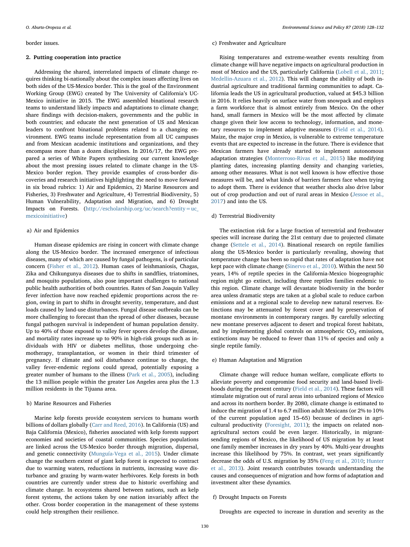#### border issues.

#### 2. Putting cooperation into practice

Addressing the shared, interrelated impacts of climate change requires thinking bi-nationally about the complex issues affecting lives on both sides of the US-Mexico border. This is the goal of the Environment Working Group (EWG) created by The University of California's UC-Mexico initiative in 2015. The EWG assembled binational research teams to understand likely impacts and adaptations to climate change; share findings with decision-makers, governments and the public in both countries; and educate the next generation of US and Mexican leaders to confront binational problems related to a changing environment. EWG teams include representation from all UC campuses and from Mexican academic institutions and organizations, and they encompass more than a dozen disciplines. In 2016/17, the EWG prepared a series of White Papers synthesizing our current knowledge about the most pressing issues related to climate change in the US-Mexico border region. They provide examples of cross-border discoveries and research initiatives highlighting the need to move forward in six broad rubrics: 1) Air and Epidemics, 2) Marine Resources and Fisheries, 3) Freshwater and Agriculture, 4) Terrestrial Biodiversity, 5) Human Vulnerability, Adaptation and Migration, and 6) Drought Impacts on Forests. ([http://escholarship.org/uc/search?entity=uc\\_](http://escholarship.org/uc/search?entity=uc_mexicoinitiative) [mexicoinitiative\)](http://escholarship.org/uc/search?entity=uc_mexicoinitiative)

#### a) Air and Epidemics

Human disease epidemics are rising in concert with climate change along the US-Mexico border. The increased emergence of infectious diseases, many of which are caused by fungal pathogens, is of particular concern ([Fisher et al., 2012\)](#page-3-3). Human cases of leishmaniosis, Chagas, Zika and Chikungunya diseases due to shifts in sandflies, triatomines, and mosquito populations, also pose important challenges to national public health authorities of both countries. Rates of San Joaquin Valley fever infection have now reached epidemic proportions across the region, owing in part to shifts in drought severity, temperature, and dust loads caused by land-use disturbances. Fungal disease outbreaks can be more challenging to forecast than the spread of other diseases, because fungal pathogen survival is independent of human population density. Up to 40% of those exposed to valley fever spores develop the disease, and mortality rates increase up to 90% in high-risk groups such as individuals with HIV or diabetes mellitus, those undergoing chemotherapy, transplantation, or women in their third trimester of pregnancy. If climate and soil disturbance continue to change, the valley fever-endemic regions could spread, potentially exposing a greater number of humans to the illness [\(Park et al., 2005](#page-4-5)), including the 13 million people within the greater Los Angeles area plus the 1.3 million residents in the Tijuana area.

#### b) Marine Resources and Fisheries

Marine kelp forests provide ecosystem services to humans worth billions of dollars globally [\(Carr and Reed, 2016](#page-3-4)). In California (US) and Baja California (Mexico), fisheries associated with kelp forests support economies and societies of coastal communities. Species populations are linked across the US-Mexico border through migration, dispersal, and genetic connectivity [\(Munguía-Vega et al., 2015](#page-4-6)). Under climate change the southern extent of giant kelp forest is expected to contract due to warming waters, reductions in nutrients, increasing wave disturbance and grazing by warm-water herbivores. Kelp forests in both countries are currently under stress due to historic overfishing and climate change. In ecosystems shared between nations, such as kelp forest systems, the actions taken by one nation invariably affect the other. Cross border cooperation in the management of these systems could help strengthen their resilience.

#### c) Freshwater and Agriculture

Rising temperatures and extreme-weather events resulting from climate change will have negative impacts on agricultural production in most of Mexico and the US, particularly California ([Lobell et al., 2011](#page-3-5); [Medellin-Azuara et al., 2012](#page-3-6)). This will change the ability of both industrial agriculture and traditional farming communities to adapt. California leads the US in agricultural production, valued at \$45.3 billion in 2016. It relies heavily on surface water from snowpack and employs a farm workforce that is almost entirely from Mexico. On the other hand, small farmers in Mexico will be the most affected by climate change given their low access to technology, information, and monetary resources to implement adaptive measures ([Field et al., 2014](#page-3-7)). Maize, the major crop in Mexico, is vulnerable to extreme temperature events that are expected to increase in the future. There is evidence that Mexican farmers have already started to implement autonomous adaptation strategies ([Monterroso-Rivas et al., 2015\)](#page-4-7) like modifying planting dates, increasing planting density and changing varieties, among other measures. What is not well known is how effective those measures will be, and what kinds of barriers farmers face when trying to adopt them. There is evidence that weather shocks also drive labor out of crop production and out of rural areas in Mexico [\(Jessoe et al.,](#page-3-8) [2017\)](#page-3-8) and into the US.

### d) Terrestrial Biodiversity

The extinction risk for a large fraction of terrestrial and freshwater species will increase during the 21st century due to projected climate change [\(Settele et al., 2014\)](#page-4-8). Binational research on reptile families along the US-Mexico border is particularly revealing, showing that temperature change has been so rapid that rates of adaptation have not kept pace with climate change [\(Sinervo et al., 2010](#page-4-9)). Within the next 50 years, 14% of reptile species in the California-Mexico biogeographic region might go extinct, including three reptiles families endemic to this region. Climate change will devastate biodiversity in the border area unless dramatic steps are taken at a global scale to reduce carbon emissions and at a regional scale to develop new natural reserves. Extinctions may be attenuated by forest cover and by preservation of montane environments in contemporary ranges. By carefully selecting new montane preserves adjacent to desert and tropical forest habitats, and by implementing global controls on atmospheric  $CO<sub>2</sub>$  emissions, extinctions may be reduced to fewer than 11% of species and only a single reptile family.

### e) Human Adaptation and Migration

Climate change will reduce human welfare, complicate efforts to alleviate poverty and compromise food security and land-based livelihoods during the present century ([Field et al., 2014](#page-3-7)). These factors will stimulate migration out of rural areas into urbanized regions of Mexico and across its northern border. By 2080, climate change is estimated to induce the migration of 1.4 to 6.7 million adult Mexicans (or 2% to 10% of the current population aged 15–65) because of declines in agricultural productivity [\(Foresight, 2011\)](#page-3-9); the impacts on related nonagricultural sectors could be even larger. Historically, in migrantsending regions of Mexico, the likelihood of US migration by at least one family member increases in dry years by 40%. Multi-year droughts increase this likelihood by 75%. In contrast, wet years significantly decrease the odds of U.S. migration by 35% [\(Feng et al., 2010](#page-3-10); [Hunter](#page-3-11) [et al., 2013](#page-3-11)). Joint research contributes towards understanding the causes and consequences of migration and how forms of adaptation and investment alter these dynamics.

#### f) Drought Impacts on Forests

Droughts are expected to increase in duration and severity as the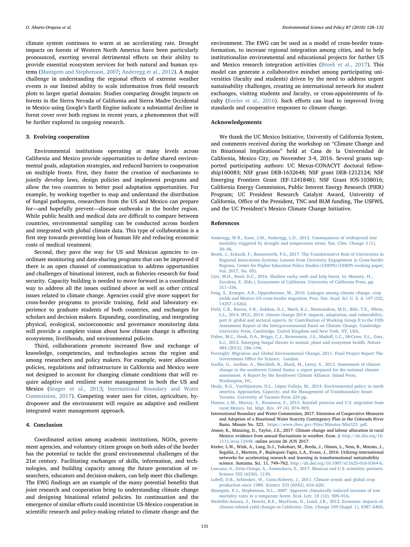climate system continues to warm at an accelerating rate. Drought impacts on forests of Western North America have been particularly pronounced, exerting several detrimental effects on their ability to provide essential ecosystem services for both natural and human systems [\(Mantgem and Stephenson, 2007;](#page-3-12) [Anderegg et al., 2012](#page-3-13)). A major challenge in understanding the regional effects of extreme weather events is our limited ability to scale information from field research plots to larger spatial domains. Studies comparing drought impacts on forests in the Sierra Nevada of California and Sierra Madre Occidental in Mexico using Google's Earth Engine indicate a substantial decline in forest cover over both regions in recent years, a phenomenon that will be further explored in ongoing research.

#### 3. Evolving cooperation

Environmental institutions operating at many levels across California and Mexico provide opportunities to define shared environmental goals, adaptation strategies, and reduced barriers to cooperation on multiple fronts. First, they foster the creation of mechanisms to jointly develop laws, design policies and implement programs and allow the two countries to better pool adaptation opportunities. For example, by working together to map and understand the distribution of fungal pathogens, researchers from the US and Mexico can prepare for—and hopefully prevent—disease outbreaks in the border region. While public health and medical data are difficult to compare between countries, environmental sampling can be conducted across borders and integrated with global climate data. This type of collaboration is a first step towards preventing loss of human life and reducing economic costs of medical treatment.

Second, they pave the way for US and Mexican agencies to coordinate monitoring and data-sharing programs that can be improved if there is an open channel of communication to address opportunities and challenges of binational interest, such as fisheries research for food security. Capacity building is needed to move forward in a coordinated way to address all the issues outlined above as well as other critical issues related to climate change. Agencies could give more support for cross-border programs to provide training, field and laboratory experience to graduate students of both countries, and exchanges for scholars and decision makers. Expanding, coordinating, and integrating physical, ecological, socioeconomic and governance monitoring data will provide a complete vision about how climate change is affecting ecosystems, livelihoods, and environmental policies.

Third, collaborations promote increased flow and exchange of knowledge, competencies, and technologies across the region and among researchers and policy makers. For example, water allocation policies, regulations and infrastructure in California and Mexico were not designed to account for changing climate conditions that will require adaptive and resilient water management in both the US and Mexico ([Seager et al., 2013](#page-4-10); [International Boundary and Water](#page-3-14) [Commission, 2017](#page-3-14)). Competing water uses for cities, agriculture, hydropower and the environment will require an adaptive and resilient integrated water management approach.

#### 4. Conclusion

Coordinated action among academic institutions, NGOs, government agencies, and voluntary citizen groups on both sides of the border has the potential to tackle the grand environmental challenges of the 21st century. Facilitating exchanges of skills, information, and technologies, and building capacity among the future generation of researchers, educators and decision-makers, can help meet this challenge. The EWG findings are an example of the many potential benefits that joint research and cooperation bring to understanding climate change and designing binational related policies. Its continuation and the emergence of similar efforts could incentivize US-Mexico cooperation in scientific research and policy-making related to climate change and the

environment. The EWG can be used as a model of cross-border transformation, to increase regional integration among cities, and to help institutionalize environmental and educational projects for further US and Mexico research integration activities ([Broek et al., 2017\)](#page-3-15). This model can generate a collaborative mindset among participating universities (faculty and students) driven by the need to address urgent sustainability challenges, creating an international network for student exchanges, visiting students and faculty, or cross-appointments of faculty ([Keeler et al., 2016](#page-3-16)). Such efforts can lead to improved living standards and cooperative responses to climate change.

#### Acknowledgements

We thank the UC Mexico Initiative, University of California System, and comments received during the workshop on "Climate Change and its Binational Implications" held at Casa de la Universidad de California, Mexico City, on November 3-4, 2016. Several grants supported participating authors: UC Mexus-CONACYT doctoral fellowship160083; NSF grant DEB-1632648; NSF grant DEB-1212124; NSF Emerging Frontiers Grant (EF-1241848); NSF Grant IOS-1038016; California Energy Commission, Public Interest Energy Research (PIER) Program; UC President Research Catalyst Award, University of California, Office of the President, TNC and BLM funding, The USFWS, and the UC President's Mexico Climate Change Initiative.

#### References

- <span id="page-3-13"></span>[Anderegg, W.R., Kane, J.M., Anderegg, L.D., 2012. Consequences of widespread tree](http://refhub.elsevier.com/S1462-9011(17)31060-2/sbref0005) [mortality triggered by drought and temperature stress. Nat. Clim. Change 3 \(1\),](http://refhub.elsevier.com/S1462-9011(17)31060-2/sbref0005) 30–[36](http://refhub.elsevier.com/S1462-9011(17)31060-2/sbref0005).
- <span id="page-3-15"></span>[Broek, J., Eckardt, F., Benneworth, P.S., 2017. The Transformative Role of Universities in](http://refhub.elsevier.com/S1462-9011(17)31060-2/sbref0010) [Regional Innovations Systems: Lessons from University Engagement in Cross-border](http://refhub.elsevier.com/S1462-9011(17)31060-2/sbref0010) [Regions. Center for Higher Education Policy Studies \(CHEPS\) \(CHEPS working paper;](http://refhub.elsevier.com/S1462-9011(17)31060-2/sbref0010) [Vol. 2017, No. 05\).](http://refhub.elsevier.com/S1462-9011(17)31060-2/sbref0010)
- <span id="page-3-4"></span>[Carr, M.H., Reed, D.C., 2016. Shallow rocky reefs and kelp forest. In: Mooney, H.,](http://refhub.elsevier.com/S1462-9011(17)31060-2/sbref0015) [Zavaleta, E. \(Eds.\), Ecosystems of California. University of California Press, pp.](http://refhub.elsevier.com/S1462-9011(17)31060-2/sbref0015) 311–[336](http://refhub.elsevier.com/S1462-9011(17)31060-2/sbref0015).
- <span id="page-3-10"></span>[Feng, S., Krueger, A.B., Oppenheimer, M., 2010. Linkages among climate change, crop](http://refhub.elsevier.com/S1462-9011(17)31060-2/sbref0020) yields and Mexico–[US cross-border migration. Proc. Nat. Acad. Sci. U. S. A. 107 \(32\),](http://refhub.elsevier.com/S1462-9011(17)31060-2/sbref0020) 14257–[14262.](http://refhub.elsevier.com/S1462-9011(17)31060-2/sbref0020)
- <span id="page-3-7"></span>[Field, C.B., Barros, V.R., Dokken, D.J., Mach, K.J., Mastrandrea, M.D., Bilir, T.E., White,](http://refhub.elsevier.com/S1462-9011(17)31060-2/sbref0025) [L.L., 2014. IPCC, 2014: climate change 2014: impacts, adaptation, and vulnerability.](http://refhub.elsevier.com/S1462-9011(17)31060-2/sbref0025) [part A: global and sectoral aspects. In: Contribution of Working Group II to the Fifth](http://refhub.elsevier.com/S1462-9011(17)31060-2/sbref0025) [Assessment Report of the Intergovernmental Panel on Climate Change. Cambridge](http://refhub.elsevier.com/S1462-9011(17)31060-2/sbref0025) [University Press, Cambridge, United Kingdom and New York, NY, USA.](http://refhub.elsevier.com/S1462-9011(17)31060-2/sbref0025)
- <span id="page-3-3"></span>[Fisher, M.C., Henk, D.A., Briggs, C.J., Brownstein, J.S., Mado](http://refhub.elsevier.com/S1462-9011(17)31060-2/sbref0030)ff, L.C., McCraw, S.L., Gurr, [S.J., 2012. Emerging fungal threats to animal, plant and ecosystem health. Nature](http://refhub.elsevier.com/S1462-9011(17)31060-2/sbref0030) [484 \(2012\), 186](http://refhub.elsevier.com/S1462-9011(17)31060-2/sbref0030)–194.
- <span id="page-3-9"></span>[Foresight: Migration and Global Environmental Change, 2011. Final Project Report The](http://refhub.elsevier.com/S1462-9011(17)31060-2/sbref0035) Government Offi[ce for Science. London.](http://refhub.elsevier.com/S1462-9011(17)31060-2/sbref0035)
- <span id="page-3-0"></span>Garfi[n, G., Jardine, A., Merideth, R., Black, M., Leroy, S., 2013. Assessment of climate](http://refhub.elsevier.com/S1462-9011(17)31060-2/sbref0040) [change in the southwest United States: a report prepared for the national climate](http://refhub.elsevier.com/S1462-9011(17)31060-2/sbref0040) [assessment. A Report by the Southwest Climate Alliance. Island Press,](http://refhub.elsevier.com/S1462-9011(17)31060-2/sbref0040) [Washington, DC](http://refhub.elsevier.com/S1462-9011(17)31060-2/sbref0040).
- <span id="page-3-2"></span>[Healy, R.G., VanNijnatten, D.L., López-Vallejo, M., 2014. Environmental policy in north](http://refhub.elsevier.com/S1462-9011(17)31060-2/sbref0045) [america. Approaches, Capacity, and the Management of Transboundary Issues](http://refhub.elsevier.com/S1462-9011(17)31060-2/sbref0045) [Toronto. University of Toronto Press 224 pp](http://refhub.elsevier.com/S1462-9011(17)31060-2/sbref0045).
- <span id="page-3-11"></span>[Hunter, L.M., Murray, S., Riosmena, F., 2013. Rainfall patterns and U.S. migration from](http://refhub.elsevier.com/S1462-9011(17)31060-2/sbref0050) [rural Mexico. Int. Migr. Rev. 47 \(4\), 874](http://refhub.elsevier.com/S1462-9011(17)31060-2/sbref0050)–909.
- <span id="page-3-14"></span>International Boundary and Water Commission, 2017. Extension of Cooperative Measures and Adoption of a Binational Water Scarcity Contingency Plan in the Colorado River Basin. Minute No. 323. [https://www.ibwc.gov/Files/Minutes/Min323. pdf.](https://www.ibwc.gov/Files/Minutes/Min323.%20pdf)
- <span id="page-3-8"></span>Jessoe, K., Manning, D., Taylor, J.E., 2017. Climate change and labour allocation in rural Mexico: evidence from annual fluctuations in weather. Econ. J. [http://dx.doi.org/10.](http://dx.doi.org/10.1111/ecoj.12448) 1111/ecoj.12448. [online access 26 JUN 2017](http://dx.doi.org/10.1111/ecoj.12448).
- <span id="page-3-16"></span>Keeler, L.W., Wiek, A., Lang, D.J., Yokohari, M., Breda, J., Olsson, L., Ness, B., Morato, J., Segalàs, J., Martens, P., Bojórquez-Tapia, L.A., Evans, J., 2016. Utilizing international networks for accelerating research and learning in transformational sustainability science. Sustaina. Sci. 11, 749–762. <http://dx.doi.org/10.1007/s11625-016-0364-6>.
- <span id="page-3-1"></span>[Lazcano, A., Ortiz-Ortega, A., Armendariz, S., 2017. Mexican and U.S. scientists: partners.](http://refhub.elsevier.com/S1462-9011(17)31060-2/sbref0070) [Science 355 \(6330\), 1139](http://refhub.elsevier.com/S1462-9011(17)31060-2/sbref0070).
- <span id="page-3-5"></span>[Lobell, D.B., Schlenker, W., Costa-Roberts, J., 2011. Climate trends and global crop](http://refhub.elsevier.com/S1462-9011(17)31060-2/sbref0075) [production since 1980. Science 333 \(6042\), 616](http://refhub.elsevier.com/S1462-9011(17)31060-2/sbref0075)–620.
- <span id="page-3-12"></span>[Mantgem, P.J., Stephenson, N.L., 2007. Apparent climatically induced increase of tree](http://refhub.elsevier.com/S1462-9011(17)31060-2/sbref0080) [mortality rates in a temperate forest. Ecol. Lett. 10 \(10\), 909](http://refhub.elsevier.com/S1462-9011(17)31060-2/sbref0080)–916.
- <span id="page-3-6"></span>[Medellin-Azuara, J., Howitt, R.E., MacEwan, D., Lund, J.R., 2012. Economic impacts of](http://refhub.elsevier.com/S1462-9011(17)31060-2/sbref0085) [climate-related yield changes in California. Clim. Change 109 \(Suppl. 1\), S387](http://refhub.elsevier.com/S1462-9011(17)31060-2/sbref0085)–S405.